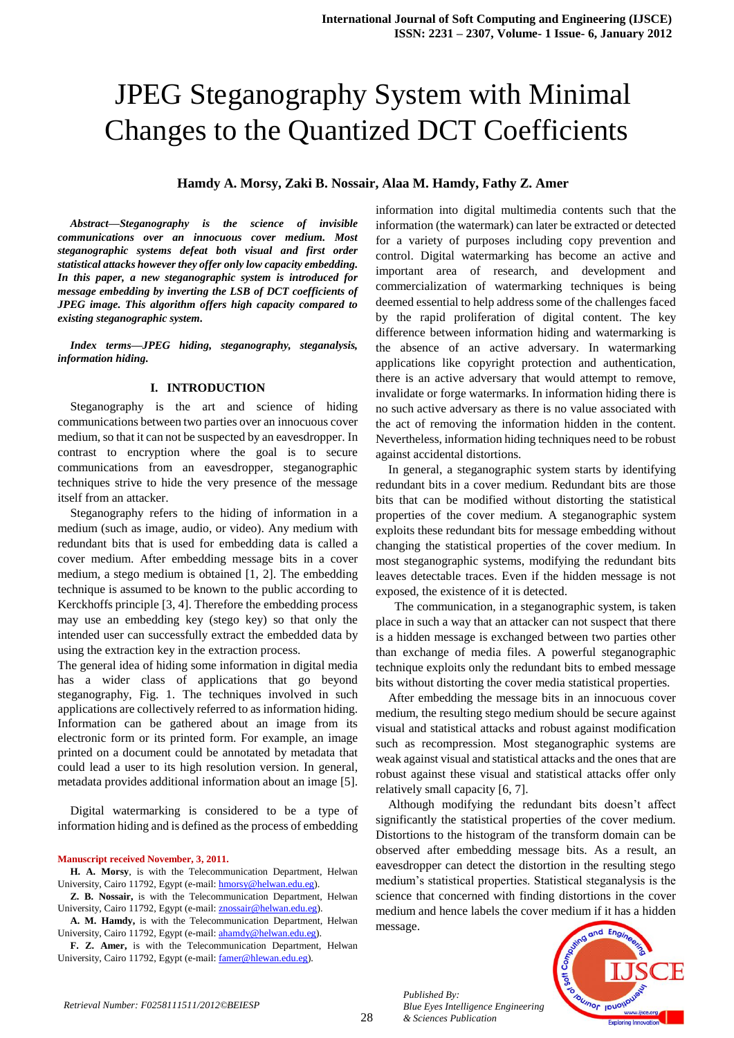# JPEG Steganography System with Minimal Changes to the Quantized DCT Coefficients

**Hamdy A. Morsy, Zaki B. Nossair, Alaa M. Hamdy, Fathy Z. Amer**

*Abstract—Steganography is the science of invisible communications over an innocuous cover medium. Most steganographic systems defeat both visual and first order statistical attacks however they offer only low capacity embedding. In this paper, a new steganographic system is introduced for message embedding by inverting the LSB of DCT coefficients of JPEG image. This algorithm offers high capacity compared to existing steganographic system.*

*Index terms—JPEG hiding, steganography, steganalysis, information hiding.*

## **I. INTRODUCTION**

Steganography is the art and science of hiding communications between two parties over an innocuous cover medium, so that it can not be suspected by an eavesdropper. In contrast to encryption where the goal is to secure communications from an eavesdropper, steganographic techniques strive to hide the very presence of the message itself from an attacker.

Steganography refers to the hiding of information in a medium (such as image, audio, or video). Any medium with redundant bits that is used for embedding data is called a cover medium. After embedding message bits in a cover medium, a stego medium is obtained [1, 2]. The embedding technique is assumed to be known to the public according to Kerckhoffs principle [3, 4]. Therefore the embedding process may use an embedding key (stego key) so that only the intended user can successfully extract the embedded data by using the extraction key in the extraction process.

The general idea of hiding some information in digital media has a wider class of applications that go beyond steganography, Fig. 1. The techniques involved in such applications are collectively referred to as information hiding. Information can be gathered about an image from its electronic form or its printed form. For example, an image printed on a document could be annotated by metadata that could lead a user to its high resolution version. In general, metadata provides additional information about an image [5].

Digital watermarking is considered to be a type of information hiding and is defined as the process of embedding

#### **Manuscript received November, 3, 2011.**

**H. A. Morsy**, is with the Telecommunication Department, Helwan University, Cairo 11792, Egypt (e-mail[: hmorsy@helwan.edu.eg\)](mailto:hmorsy@helwan.edu.eg)

**Z. B. Nossair,** is with the Telecommunication Department, Helwan University, Cairo 11792, Egypt (e-mail[: znossair@helwan.edu.eg\).](mailto:znossair@helwan.edu.eg)

**A. M. Hamdy,** is with the Telecommunication Department, Helwan University, Cairo 11792, Egypt (e-mail[: ahamdy@helwan.edu.eg\)](mailto:ahamdy@helwan.edu.eg).

**F. Z. Amer,** is with the Telecommunication Department, Helwan University, Cairo 11792, Egypt (e-mail[: famer@hlewan.edu.eg\)](mailto:famer@hlewan.edu.eg).

information into digital multimedia contents such that the information (the watermark) can later be extracted or detected for a variety of purposes including copy prevention and control. Digital watermarking has become an active and important area of research, and development and commercialization of watermarking techniques is being deemed essential to help address some of the challenges faced by the rapid proliferation of digital content. The key difference between information hiding and watermarking is the absence of an active adversary. In watermarking applications like copyright protection and authentication, there is an active adversary that would attempt to remove, invalidate or forge watermarks. In information hiding there is no such active adversary as there is no value associated with the act of removing the information hidden in the content. Nevertheless, information hiding techniques need to be robust against accidental distortions.

In general, a steganographic system starts by identifying redundant bits in a cover medium. Redundant bits are those bits that can be modified without distorting the statistical properties of the cover medium. A steganographic system exploits these redundant bits for message embedding without changing the statistical properties of the cover medium. In most steganographic systems, modifying the redundant bits leaves detectable traces. Even if the hidden message is not exposed, the existence of it is detected.

 The communication, in a steganographic system, is taken place in such a way that an attacker can not suspect that there is a hidden message is exchanged between two parties other than exchange of media files. A powerful steganographic technique exploits only the redundant bits to embed message bits without distorting the cover media statistical properties.

After embedding the message bits in an innocuous cover medium, the resulting stego medium should be secure against visual and statistical attacks and robust against modification such as recompression. Most steganographic systems are weak against visual and statistical attacks and the ones that are robust against these visual and statistical attacks offer only relatively small capacity [6, 7].

Although modifying the redundant bits doesn't affect significantly the statistical properties of the cover medium. Distortions to the histogram of the transform domain can be observed after embedding message bits. As a result, an eavesdropper can detect the distortion in the resulting stego medium's statistical properties. Statistical steganalysis is the science that concerned with finding distortions in the cover medium and hence labels the cover medium if it has a hidden message.



*Published By: Blue Eyes Intelligence Engineering & Sciences Publication*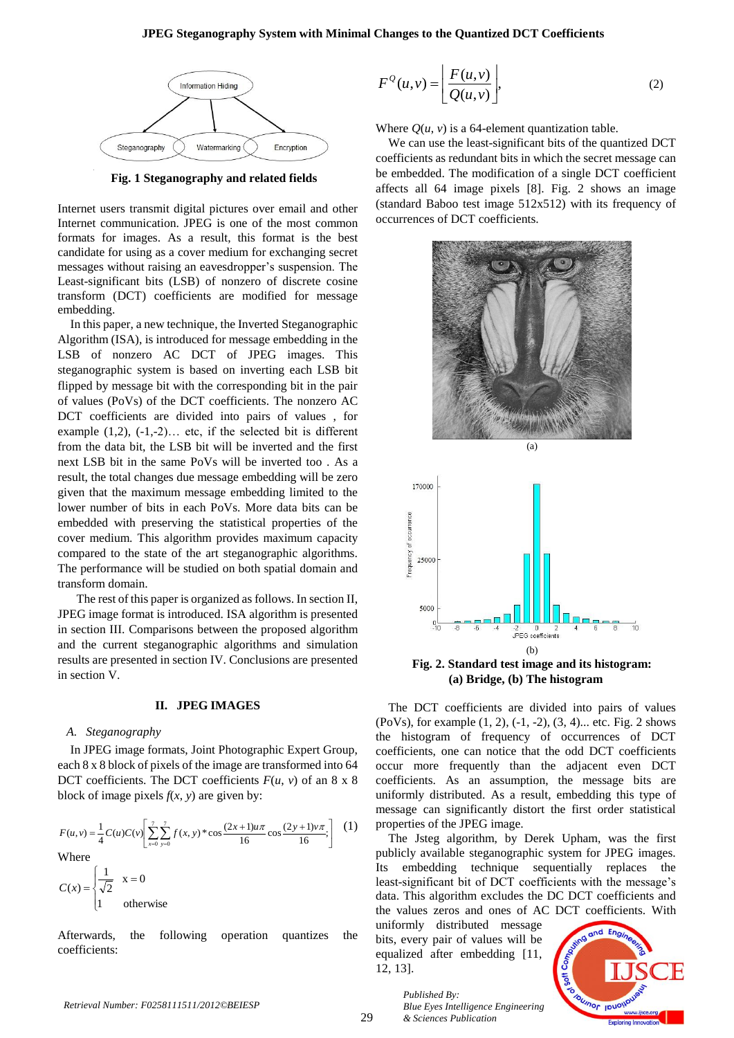

**Fig. 1 Steganography and related fields**

Internet users transmit digital pictures over email and other Internet communication. JPEG is one of the most common formats for images. As a result, this format is the best candidate for using as a cover medium for exchanging secret messages without raising an eavesdropper's suspension. The Least-significant bits (LSB) of nonzero of discrete cosine transform (DCT) coefficients are modified for message embedding.

In this paper, a new technique, the Inverted Steganographic Algorithm (ISA), is introduced for message embedding in the LSB of nonzero AC DCT of JPEG images. This steganographic system is based on inverting each LSB bit flipped by message bit with the corresponding bit in the pair of values (PoVs) of the DCT coefficients. The nonzero AC DCT coefficients are divided into pairs of values , for example  $(1,2)$ ,  $(-1,-2)$ ... etc, if the selected bit is different from the data bit, the LSB bit will be inverted and the first next LSB bit in the same PoVs will be inverted too . As a result, the total changes due message embedding will be zero given that the maximum message embedding limited to the lower number of bits in each PoVs. More data bits can be embedded with preserving the statistical properties of the cover medium. This algorithm provides maximum capacity compared to the state of the art steganographic algorithms. The performance will be studied on both spatial domain and transform domain.

 The rest of this paper is organized as follows. In section II, JPEG image format is introduced. ISA algorithm is presented in section III. Comparisons between the proposed algorithm and the current steganographic algorithms and simulation results are presented in section IV. Conclusions are presented in section V.

#### **II. JPEG IMAGES**

#### *A. Steganography*

In JPEG image formats, Joint Photographic Expert Group, each 8 x 8 block of pixels of the image are transformed into 64 DCT coefficients. The DCT coefficients  $F(u, v)$  of an 8 x 8 block of image pixels  $f(x, y)$  are given by:

$$
F(u, v) = \frac{1}{4} C(u)C(v) \left[ \sum_{x=0}^{7} \sum_{y=0}^{7} f(x, y)^* \cos \frac{(2x+1)u\pi}{16} \cos \frac{(2y+1)v\pi}{16} \right] \tag{1}
$$
  
Where  

$$
C(x) = \begin{cases} \frac{1}{\sqrt{2}} & x = 0 \end{cases}
$$

$$
1
$$
 otherwise

 $\vert$ 

Afterwards, the following operation quantizes the coefficients:

$$
F^{Q}(u,v) = \left[ \frac{F(u,v)}{Q(u,v)} \right],
$$
 (2)

Where  $Q(u, v)$  is a 64-element quantization table.

We can use the least-significant bits of the quantized DCT coefficients as redundant bits in which the secret message can be embedded. The modification of a single DCT coefficient affects all 64 image pixels [8]. Fig. 2 shows an image (standard Baboo test image 512x512) with its frequency of occurrences of DCT coefficients.



**Fig. 2. Standard test image and its histogram: (a) Bridge, (b) The histogram**

The DCT coefficients are divided into pairs of values (PoVs), for example (1, 2), (-1, -2), (3, 4)... etc. Fig. 2 shows the histogram of frequency of occurrences of DCT coefficients, one can notice that the odd DCT coefficients occur more frequently than the adjacent even DCT coefficients. As an assumption, the message bits are uniformly distributed. As a result, embedding this type of message can significantly distort the first order statistical properties of the JPEG image.

The Jsteg algorithm, by Derek Upham, was the first publicly available steganographic system for JPEG images. Its embedding technique sequentially replaces the least-significant bit of DCT coefficients with the message's data. This algorithm excludes the DC DCT coefficients and the values zeros and ones of AC DCT coefficients. With

uniformly distributed message bits, every pair of values will be equalized after embedding [11, 12, 13].

*Blue Eyes Intelligence Engineering* 

*Published By:*

*& Sciences Publication* 

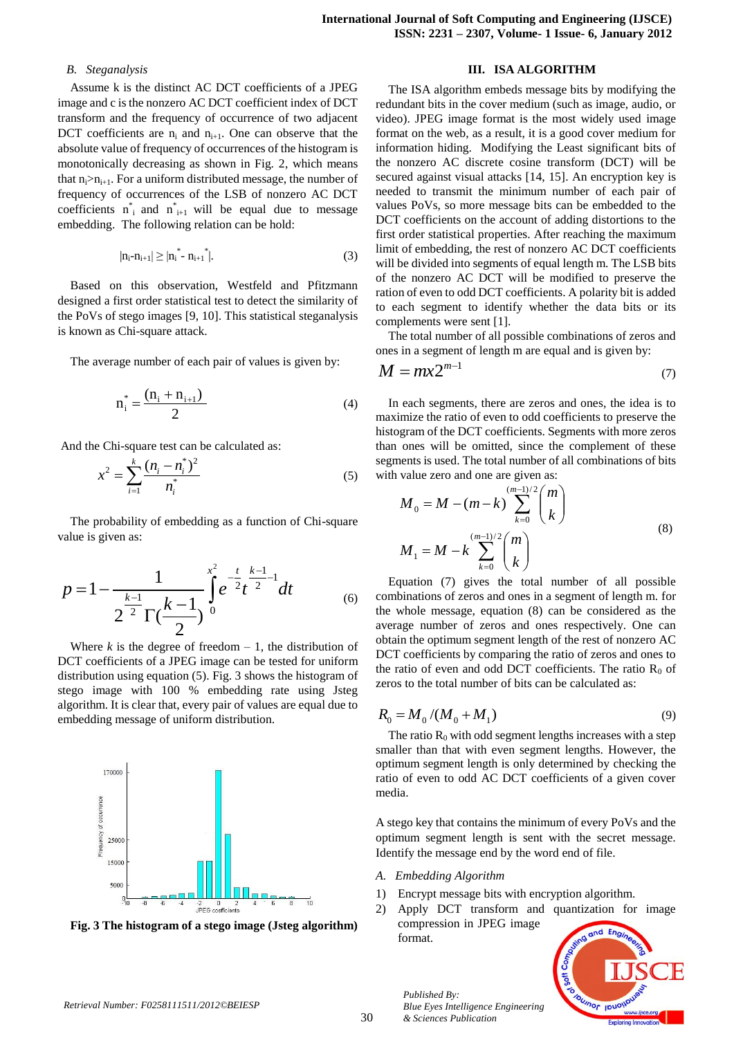# *B. Steganalysis*

Assume k is the distinct AC DCT coefficients of a JPEG image and c is the nonzero AC DCT coefficient index of DCT transform and the frequency of occurrence of two adjacent DCT coefficients are  $n_i$  and  $n_{i+1}$ . One can observe that the absolute value of frequency of occurrences of the histogram is monotonically decreasing as shown in Fig. 2, which means that  $n_i > n_{i+1}$ . For a uniform distributed message, the number of frequency of occurrences of the LSB of nonzero AC DCT coefficients  $n_{i}^{*}$  and  $n_{i+1}^{*}$  will be equal due to message embedding. The following relation can be hold:

$$
|\mathbf{n}_{i} - \mathbf{n}_{i+1}| \geq |\mathbf{n}_{i}^{*} - \mathbf{n}_{i+1}^{*}|. \tag{3}
$$

Based on this observation, Westfeld and Pfitzmann designed a first order statistical test to detect the similarity of the PoVs of stego images [9, 10]. This statistical steganalysis is known as Chi-square attack.

The average number of each pair of values is given by:

$$
n_i^* = \frac{(n_i + n_{i+1})}{2} \tag{4}
$$

And the Chi-square test can be calculated as:

$$
x^{2} = \sum_{i=1}^{k} \frac{(n_{i} - n_{i}^{*})^{2}}{n_{i}^{*}}
$$
 (5)

The probability of embedding as a function of Chi-square value is given as:

$$
p = 1 - \frac{1}{2^{\frac{k-1}{2}} \Gamma(\frac{k-1}{2})} \int_{0}^{x^2} e^{-\frac{t}{2}} t^{\frac{k-1}{2} - 1} dt
$$
 (6)

Where  $k$  is the degree of freedom  $-1$ , the distribution of DCT coefficients of a JPEG image can be tested for uniform distribution using equation (5). Fig. 3 shows the histogram of stego image with 100 % embedding rate using Jsteg algorithm. It is clear that, every pair of values are equal due to embedding message of uniform distribution.



**Fig. 3 The histogram of a stego image (Jsteg algorithm)**

## **III. ISA ALGORITHM**

The ISA algorithm embeds message bits by modifying the redundant bits in the cover medium (such as image, audio, or video). JPEG image format is the most widely used image format on the web, as a result, it is a good cover medium for information hiding. Modifying the Least significant bits of the nonzero AC discrete cosine transform (DCT) will be secured against visual attacks [14, 15]. An encryption key is needed to transmit the minimum number of each pair of values PoVs, so more message bits can be embedded to the DCT coefficients on the account of adding distortions to the first order statistical properties. After reaching the maximum limit of embedding, the rest of nonzero AC DCT coefficients will be divided into segments of equal length m. The LSB bits of the nonzero AC DCT will be modified to preserve the ration of even to odd DCT coefficients. A polarity bit is added to each segment to identify whether the data bits or its complements were sent [1].

The total number of all possible combinations of zeros and ones in a segment of length m are equal and is given by:

$$
M = mx2^{m-1} \tag{7}
$$

In each segments, there are zeros and ones, the idea is to maximize the ratio of even to odd coefficients to preserve the histogram of the DCT coefficients. Segments with more zeros than ones will be omitted, since the complement of these segments is used. The total number of all combinations of bits with value zero and one are given as:

$$
M_0 = M - (m - k) \sum_{k=0}^{(m-1)/2} \binom{m}{k}
$$
  

$$
M_1 = M - k \sum_{k=0}^{(m-1)/2} \binom{m}{k}
$$
 (8)

Equation (7) gives the total number of all possible combinations of zeros and ones in a segment of length m. for the whole message, equation (8) can be considered as the average number of zeros and ones respectively. One can obtain the optimum segment length of the rest of nonzero AC DCT coefficients by comparing the ratio of zeros and ones to the ratio of even and odd DCT coefficients. The ratio  $R_0$  of zeros to the total number of bits can be calculated as:

$$
R_0 = M_0 / (M_0 + M_1)
$$
\n(9)

The ratio  $R_0$  with odd segment lengths increases with a step smaller than that with even segment lengths. However, the optimum segment length is only determined by checking the ratio of even to odd AC DCT coefficients of a given cover media.

A stego key that contains the minimum of every PoVs and the optimum segment length is sent with the secret message. Identify the message end by the word end of file.

*A. Embedding Algorithm*

*Published By:*

*& Sciences Publication* 

*Blue Eyes Intelligence Engineering* 

- 1) Encrypt message bits with encryption algorithm.
- 2) Apply DCT transform and quantization for image compression in JPEG image format.

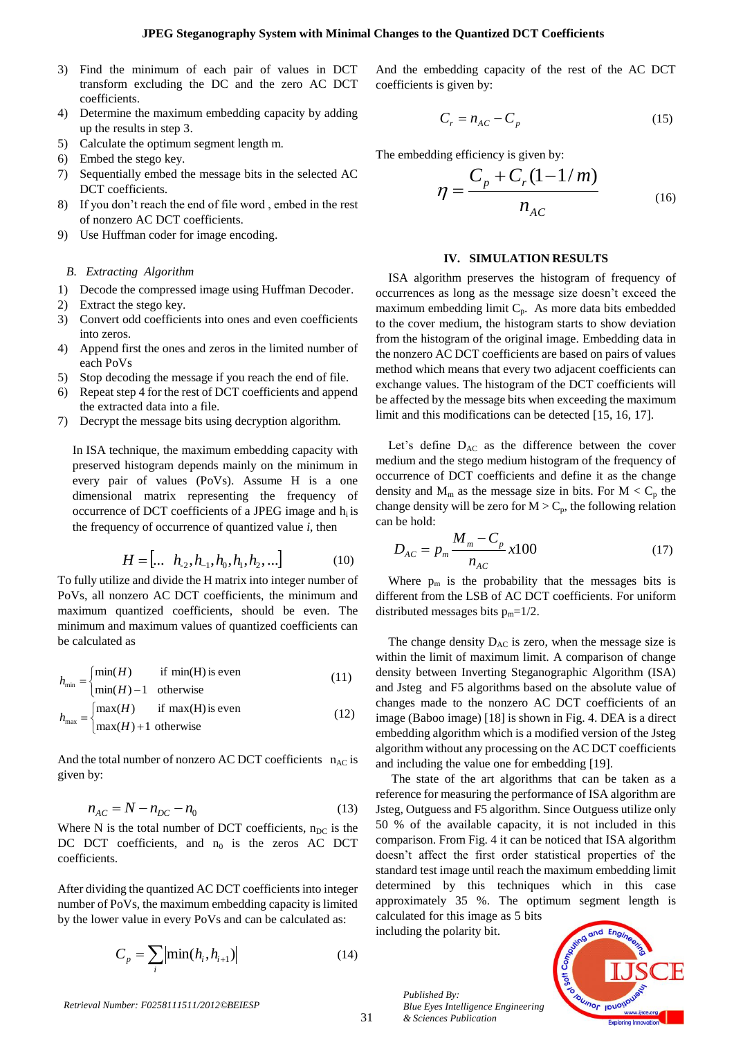- 3) Find the minimum of each pair of values in DCT transform excluding the DC and the zero AC DCT coefficients.
- 4) Determine the maximum embedding capacity by adding up the results in step 3.
- 5) Calculate the optimum segment length m.
- 6) Embed the stego key.
- 7) Sequentially embed the message bits in the selected AC DCT coefficients.
- 8) If you don't reach the end of file word , embed in the rest of nonzero AC DCT coefficients.
- 9) Use Huffman coder for image encoding.

#### *B. Extracting Algorithm*

- 1) Decode the compressed image using Huffman Decoder.
- 2) Extract the stego key.

 $\left\lfloor \frac{1}{2} \right\rfloor$ 

- 3) Convert odd coefficients into ones and even coefficients into zeros.
- 4) Append first the ones and zeros in the limited number of each PoVs
- 5) Stop decoding the message if you reach the end of file.
- 6) Repeat step 4 for the rest of DCT coefficients and append the extracted data into a file.
- 7) Decrypt the message bits using decryption algorithm.

In ISA technique, the maximum embedding capacity with preserved histogram depends mainly on the minimum in every pair of values (PoVs). Assume H is a one dimensional matrix representing the frequency of occurrence of DCT coefficients of a JPEG image and  $h_i$  is the frequency of occurrence of quantized value *i*, then

$$
H = [\dots \quad h_{2}, h_{-1}, h_{0}, h_{1}, h_{2}, \dots] \tag{10}
$$

To fully utilize and divide the H matrix into integer number of PoVs, all nonzero AC DCT coefficients, the minimum and maximum quantized coefficients, should be even. The minimum and maximum values of quantized coefficients can be calculated as

$$
h_{\min} = \begin{cases} \min(H) & \text{if } \min(H) \text{ is even} \\ \min(H) - 1 & \text{otherwise} \end{cases} \tag{11}
$$
\n
$$
h_{\max} = \begin{cases} \max(H) & \text{if } \max(H) \text{ is even} \\ \max(H) + 1 & \text{otherwise} \end{cases} \tag{12}
$$

And the total number of nonzero AC DCT coefficients  $n_{AC}$  is given by:

$$
n_{AC} = N - n_{DC} - n_0 \tag{13}
$$

Where N is the total number of DCT coefficients,  $n_{DC}$  is the DC DCT coefficients, and  $n_0$  is the zeros AC DCT coefficients.

After dividing the quantized AC DCT coefficients into integer number of PoVs, the maximum embedding capacity is limited by the lower value in every PoVs and can be calculated as:

$$
C_p = \sum_{i} \left| \min(h_i, h_{i+1}) \right| \tag{14}
$$

And the embedding capacity of the rest of the AC DCT coefficients is given by:

$$
C_r = n_{AC} - C_p \tag{15}
$$

The embedding efficiency is given by:

$$
\eta = \frac{C_p + C_r (1 - 1/m)}{n_{AC}}
$$
(16)

#### **IV. SIMULATION RESULTS**

ISA algorithm preserves the histogram of frequency of occurrences as long as the message size doesn't exceed the maximum embedding limit  $C_p$ . As more data bits embedded to the cover medium, the histogram starts to show deviation from the histogram of the original image. Embedding data in the nonzero AC DCT coefficients are based on pairs of values method which means that every two adjacent coefficients can exchange values. The histogram of the DCT coefficients will be affected by the message bits when exceeding the maximum limit and this modifications can be detected [15, 16, 17].

Let's define  $D_{AC}$  as the difference between the cover medium and the stego medium histogram of the frequency of occurrence of DCT coefficients and define it as the change density and  $M_m$  as the message size in bits. For  $M < C_p$  the change density will be zero for  $M > C_p$ , the following relation can be hold:

$$
D_{AC} = p_m \frac{M_m - C_p}{n_{AC}} x 100
$$
 (17)

Where  $p_m$  is the probability that the messages bits is different from the LSB of AC DCT coefficients. For uniform distributed messages bits  $p_m=1/2$ .

The change density  $D_{AC}$  is zero, when the message size is within the limit of maximum limit. A comparison of change density between Inverting Steganographic Algorithm (ISA) and Jsteg and F5 algorithms based on the absolute value of changes made to the nonzero AC DCT coefficients of an image (Baboo image) [18] is shown in Fig. 4. DEA is a direct embedding algorithm which is a modified version of the Jsteg algorithm without any processing on the AC DCT coefficients and including the value one for embedding [19].

The state of the art algorithms that can be taken as a reference for measuring the performance of ISA algorithm are Jsteg, Outguess and F5 algorithm. Since Outguess utilize only 50 % of the available capacity, it is not included in this comparison. From Fig. 4 it can be noticed that ISA algorithm doesn't affect the first order statistical properties of the standard test image until reach the maximum embedding limit determined by this techniques which in this case approximately 35 %. The optimum segment length is calculated for this image as 5 bits

including the polarity bit.



*Published By: Blue Eyes Intelligence Engineering & Sciences Publication* 

*Retrieval Number: F0258111511/2012©BEIESP*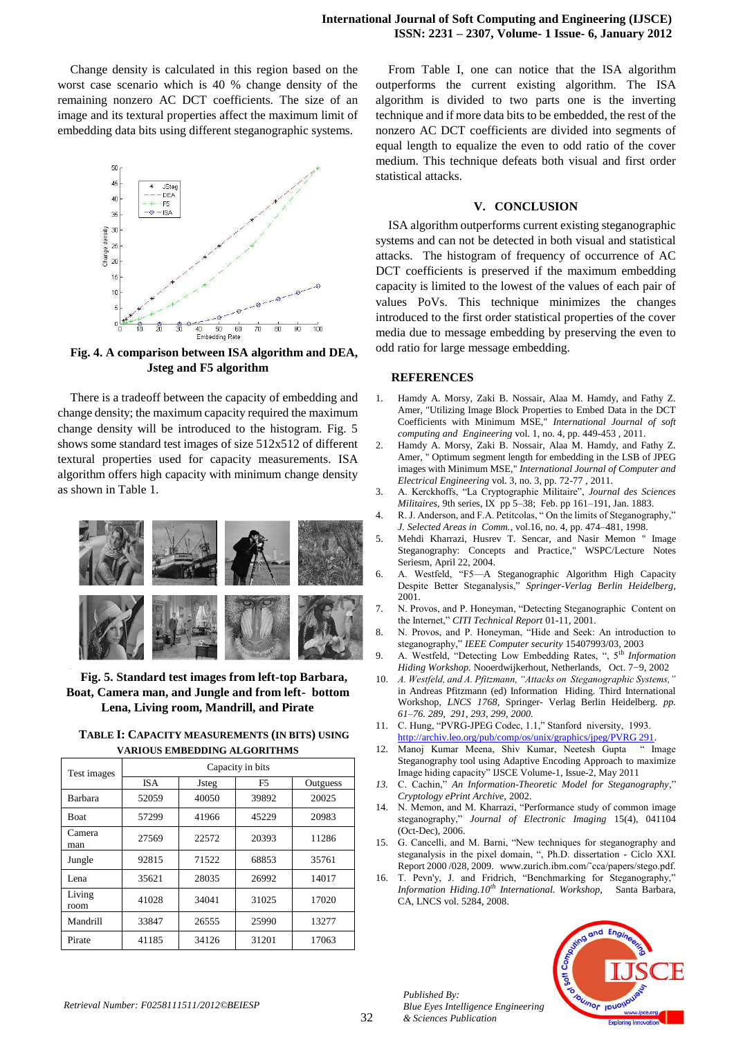Change density is calculated in this region based on the worst case scenario which is 40 % change density of the remaining nonzero AC DCT coefficients. The size of an image and its textural properties affect the maximum limit of embedding data bits using different steganographic systems.



**Fig. 4. A comparison between ISA algorithm and DEA, Jsteg and F5 algorithm**

There is a tradeoff between the capacity of embedding and change density; the maximum capacity required the maximum change density will be introduced to the histogram. Fig. 5 shows some standard test images of size 512x512 of different textural properties used for capacity measurements. ISA algorithm offers high capacity with minimum change density as shown in Table 1.



# **Fig. 5. Standard test images from left-top Barbara, Boat, Camera man, and Jungle and from left- bottom Lena, Living room, Mandrill, and Pirate**

| Test images    | Capacity in bits |               |                |          |
|----------------|------------------|---------------|----------------|----------|
|                | <b>ISA</b>       | <b>J</b> steg | F <sub>5</sub> | Outguess |
| Barbara        | 52059            | 40050         | 39892          | 20025    |
| <b>Boat</b>    | 57299            | 41966         | 45229          | 20983    |
| Camera<br>man  | 27569            | 22572         | 20393          | 11286    |
| Jungle         | 92815            | 71522         | 68853          | 35761    |
| Lena           | 35621            | 28035         | 26992          | 14017    |
| Living<br>room | 41028            | 34041         | 31025          | 17020    |
| Mandrill       | 33847            | 26555         | 25990          | 13277    |
| Pirate         | 41185            | 34126         | 31201          | 17063    |

**TABLE I: CAPACITY MEASUREMENTS (IN BITS) USING VARIOUS EMBEDDING ALGORITHMS**

From Table I, one can notice that the ISA algorithm outperforms the current existing algorithm. The ISA algorithm is divided to two parts one is the inverting technique and if more data bits to be embedded, the rest of the nonzero AC DCT coefficients are divided into segments of equal length to equalize the even to odd ratio of the cover medium. This technique defeats both visual and first order statistical attacks.

## **V. CONCLUSION**

ISA algorithm outperforms current existing steganographic systems and can not be detected in both visual and statistical attacks. The histogram of frequency of occurrence of AC DCT coefficients is preserved if the maximum embedding capacity is limited to the lowest of the values of each pair of values PoVs. This technique minimizes the changes introduced to the first order statistical properties of the cover media due to message embedding by preserving the even to odd ratio for large message embedding.

### **REFERENCES**

- 1. Hamdy A. Morsy, Zaki B. Nossair, Alaa M. Hamdy, and Fathy Z. Amer, "Utilizing Image Block Properties to Embed Data in the DCT Coefficients with Minimum MSE," *International Journal of soft computing and Engineering* vol. 1, no. 4, pp. 449-453 , 2011.
- 2. Hamdy A. Morsy, Zaki B. Nossair, Alaa M. Hamdy, and Fathy Z. Amer, " Optimum segment length for embedding in the LSB of JPEG images with Minimum MSE," *International Journal of Computer and Electrical Engineering* vol. 3, no. 3, pp. 72-77 , 2011.
- 3. A. Kerckhoffs, "La Cryptographie Militaire", *Journal des Sciences Militaires,* 9th series, IX pp 5–38; Feb. pp 161–191, Jan. 1883.
- 4. R. J. Anderson, and F.A. Petitcolas, " On the limits of Steganography," *J. Selected Areas in Comm.*, vol.16, no. 4, pp. 474–481, 1998.
- 5. Mehdi Kharrazi, Husrev T. Sencar, and Nasir Memon " Image Steganography: Concepts and Practice," WSPC/Lecture Notes Seriesm, April 22, 2004.
- 6. A. Westfeld, "F5—A Steganographic Algorithm High Capacity Despite Better Steganalysis," *Springer-Verlag Berlin Heidelberg*, 2001.
- 7. N. Provos, and P. Honeyman, "Detecting Steganographic Content on the Internet," *CITI Technical Report* 01-11, 2001.
- 8. N. Provos, and P. Honeyman, "Hide and Seek: An introduction to steganography," *IEEE Computer security* 15407993/03, 2003
- 9. A. Westfeld, "Detecting Low Embedding Rates, ", 5<sup>th</sup> Information *Hiding Workshop.* Nooerdwijkerhout, Netherlands, Oct. 7−9, 2002
- 10. *A. Westfeld, and A. Pfitzmann, "Attacks on Steganographic Systems,"*  in Andreas Pfitzmann (ed) Information Hiding. Third International Workshop, *LNCS 1768,* Springer- Verlag Berlin Heidelberg*. pp. 61–76. 289, 291, 293, 299, 2000.*
- 11. C. Hung, "PVRG-JPEG Codec, 1.1," Stanford niversity, 1993.
- [http://archiv.leo.org/pub/comp/os/unix/graphics/jpeg/PVRG 291](http://archiv.leo.org/pub/comp/os/unix/graphics/jpeg/PVRG%20291)*.* 12. Manoj Kumar Meena, Shiv Kumar, Neetesh Gupta Steganography tool using Adaptive Encoding Approach to maximize Image hiding capacity" IJSCE Volume-1, Issue-2, May 2011
- *13.* C. Cachin," *An Information-Theoretic Model for Steganography*," *Cryptology ePrint Archive,* 2002.
- 14. N. Memon, and M. Kharrazi, "Performance study of common image steganography," *Journal of Electronic Imaging* 15(4), 041104 (Oct-Dec), 2006.
- 15. G. Cancelli, and M. Barni, "New techniques for steganography and steganalysis in the pixel domain, ", Ph.D. dissertation - Ciclo XXI. Report 2000 /028, 2009. www.zurich.ibm.com/˜cca/papers/stego.pdf.
- 16. T. Pevn'y, J. and Fridrich, "Benchmarking for Steganography," *Information Hiding.10th International. Workshop,* Santa Barbara, CA, LNCS vol. 5284, 2008.



*Published By:*

*& Sciences Publication* 

*Blue Eyes Intelligence Engineering*